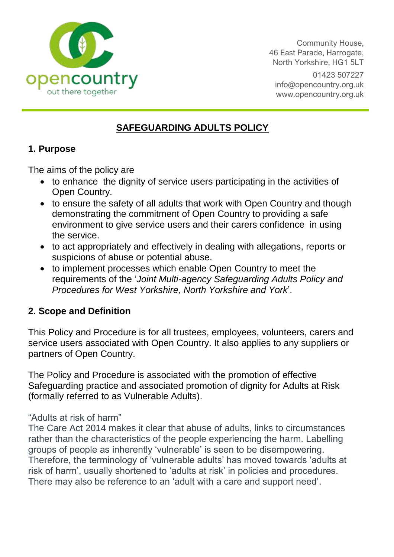

Community House, 46 East Parade, Harrogate, North Yorkshire, HG1 5LT 01423 507227 [info@opencountry.org.uk](mailto:info@opencountry.org.uk) www.opencountry.org.uk

# **SAFEGUARDING ADULTS POLICY**

## **1. Purpose**

The aims of the policy are

- to enhance the dignity of service users participating in the activities of Open Country.
- to ensure the safety of all adults that work with Open Country and though demonstrating the commitment of Open Country to providing a safe environment to give service users and their carers confidence in using the service.
- to act appropriately and effectively in dealing with allegations, reports or suspicions of abuse or potential abuse.
- to implement processes which enable Open Country to meet the requirements of the '*Joint Multi-agency Safeguarding Adults Policy and Procedures for West Yorkshire, North Yorkshire and York*'.

# **2. Scope and Definition**

This Policy and Procedure is for all trustees, employees, volunteers, carers and service users associated with Open Country. It also applies to any suppliers or partners of Open Country.

The Policy and Procedure is associated with the promotion of effective Safeguarding practice and associated promotion of dignity for Adults at Risk (formally referred to as Vulnerable Adults).

#### "Adults at risk of harm"

The Care Act 2014 makes it clear that abuse of adults, links to circumstances rather than the characteristics of the people experiencing the harm. Labelling groups of people as inherently 'vulnerable' is seen to be disempowering. Therefore, the terminology of 'vulnerable adults' has moved towards 'adults at risk of harm', usually shortened to 'adults at risk' in policies and procedures. There may also be reference to an 'adult with a care and support need'.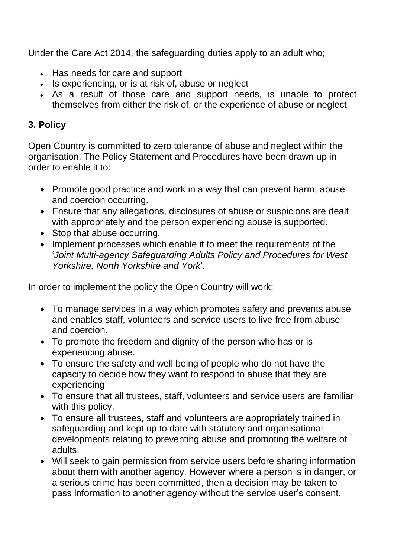Under the Care Act 2014, the safeguarding duties apply to an adult who;

- Has needs for care and support
- Is experiencing, or is at risk of, abuse or neglect
- As a result of those care and support needs, is unable to protect themselves from either the risk of, or the experience of abuse or neglect

## **3. Policy**

Open Country is committed to zero tolerance of abuse and neglect within the organisation. The Policy Statement and Procedures have been drawn up in order to enable it to:

- Promote good practice and work in a way that can prevent harm, abuse and coercion occurring.
- Ensure that any allegations, disclosures of abuse or suspicions are dealt with appropriately and the person experiencing abuse is supported.
- Stop that abuse occurring.
- Implement processes which enable it to meet the requirements of the '*Joint Multi-agency Safeguarding Adults Policy and Procedures for West Yorkshire, North Yorkshire and York*'.

In order to implement the policy the Open Country will work:

- To manage services in a way which promotes safety and prevents abuse and enables staff, volunteers and service users to live free from abuse and coercion.
- To promote the freedom and dignity of the person who has or is experiencing abuse.
- To ensure the safety and well being of people who do not have the capacity to decide how they want to respond to abuse that they are experiencing
- To ensure that all trustees, staff, volunteers and service users are familiar with this policy.
- To ensure all trustees, staff and volunteers are appropriately trained in safeguarding and kept up to date with statutory and organisational developments relating to preventing abuse and promoting the welfare of adults.
- Will seek to gain permission from service users before sharing information about them with another agency. However where a person is in danger, or a serious crime has been committed, then a decision may be taken to pass information to another agency without the service user's consent.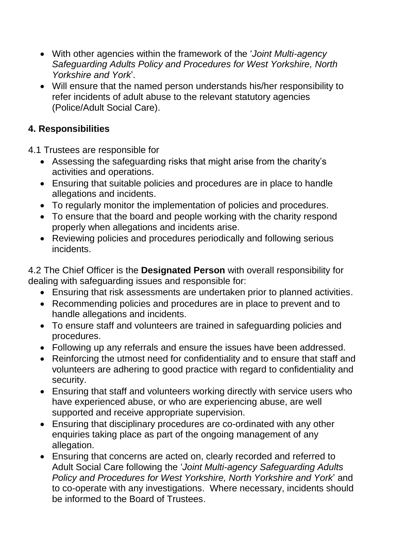- With other agencies within the framework of the '*Joint Multi-agency Safeguarding Adults Policy and Procedures for West Yorkshire, North Yorkshire and York*'.
- Will ensure that the named person understands his/her responsibility to refer incidents of adult abuse to the relevant statutory agencies (Police/Adult Social Care).

## **4. Responsibilities**

4.1 Trustees are responsible for

- Assessing the safeguarding risks that might arise from the charity's activities and operations.
- Ensuring that suitable policies and procedures are in place to handle allegations and incidents.
- To regularly monitor the implementation of policies and procedures.
- To ensure that the board and people working with the charity respond properly when allegations and incidents arise.
- Reviewing policies and procedures periodically and following serious incidents.

4.2 The Chief Officer is the **Designated Person** with overall responsibility for dealing with safeguarding issues and responsible for:

- Ensuring that risk assessments are undertaken prior to planned activities.
- Recommending policies and procedures are in place to prevent and to handle allegations and incidents.
- To ensure staff and volunteers are trained in safeguarding policies and procedures.
- Following up any referrals and ensure the issues have been addressed.
- Reinforcing the utmost need for confidentiality and to ensure that staff and volunteers are adhering to good practice with regard to confidentiality and security.
- Ensuring that staff and volunteers working directly with service users who have experienced abuse, or who are experiencing abuse, are well supported and receive appropriate supervision.
- Ensuring that disciplinary procedures are co-ordinated with any other enquiries taking place as part of the ongoing management of any allegation.
- Ensuring that concerns are acted on, clearly recorded and referred to Adult Social Care following the '*Joint Multi-agency Safeguarding Adults Policy and Procedures for West Yorkshire, North Yorkshire and York*' and to co-operate with any investigations. Where necessary, incidents should be informed to the Board of Trustees.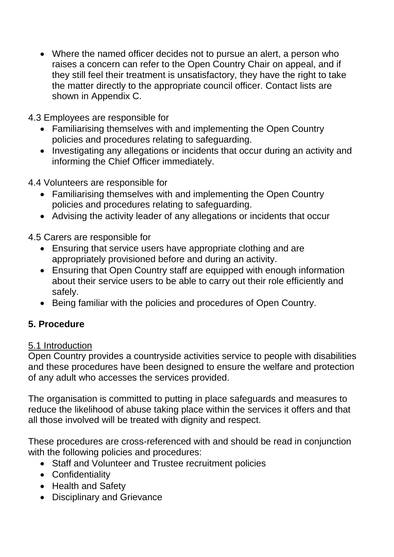Where the named officer decides not to pursue an alert, a person who raises a concern can refer to the Open Country Chair on appeal, and if they still feel their treatment is unsatisfactory, they have the right to take the matter directly to the appropriate council officer. Contact lists are shown in Appendix C.

4.3 Employees are responsible for

- Familiarising themselves with and implementing the Open Country policies and procedures relating to safeguarding.
- Investigating any allegations or incidents that occur during an activity and informing the Chief Officer immediately.

4.4 Volunteers are responsible for

- Familiarising themselves with and implementing the Open Country policies and procedures relating to safeguarding.
- Advising the activity leader of any allegations or incidents that occur

4.5 Carers are responsible for

- Ensuring that service users have appropriate clothing and are appropriately provisioned before and during an activity.
- Ensuring that Open Country staff are equipped with enough information about their service users to be able to carry out their role efficiently and safely.
- Being familiar with the policies and procedures of Open Country.

## **5. Procedure**

#### 5.1 Introduction

Open Country provides a countryside activities service to people with disabilities and these procedures have been designed to ensure the welfare and protection of any adult who accesses the services provided.

The organisation is committed to putting in place safeguards and measures to reduce the likelihood of abuse taking place within the services it offers and that all those involved will be treated with dignity and respect.

These procedures are cross-referenced with and should be read in conjunction with the following policies and procedures:

- Staff and Volunteer and Trustee recruitment policies
- Confidentiality
- Health and Safety
- Disciplinary and Grievance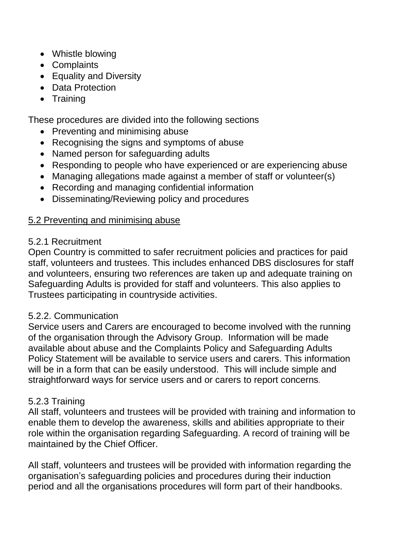- Whistle blowing
- Complaints
- Equality and Diversity
- Data Protection
- Training

These procedures are divided into the following sections

- Preventing and minimising abuse
- Recognising the signs and symptoms of abuse
- Named person for safeguarding adults
- Responding to people who have experienced or are experiencing abuse
- Managing allegations made against a member of staff or volunteer(s)
- Recording and managing confidential information
- Disseminating/Reviewing policy and procedures

#### 5.2 Preventing and minimising abuse

#### 5.2.1 Recruitment

Open Country is committed to safer recruitment policies and practices for paid staff, volunteers and trustees. This includes enhanced DBS disclosures for staff and volunteers, ensuring two references are taken up and adequate training on Safeguarding Adults is provided for staff and volunteers. This also applies to Trustees participating in countryside activities.

#### 5.2.2. Communication

Service users and Carers are encouraged to become involved with the running of the organisation through the Advisory Group. Information will be made available about abuse and the Complaints Policy and Safeguarding Adults Policy Statement will be available to service users and carers. This information will be in a form that can be easily understood. This will include simple and straightforward ways for service users and or carers to report concerns*.* 

#### 5.2.3 Training

All staff, volunteers and trustees will be provided with training and information to enable them to develop the awareness, skills and abilities appropriate to their role within the organisation regarding Safeguarding. A record of training will be maintained by the Chief Officer.

All staff, volunteers and trustees will be provided with information regarding the organisation's safeguarding policies and procedures during their induction period and all the organisations procedures will form part of their handbooks.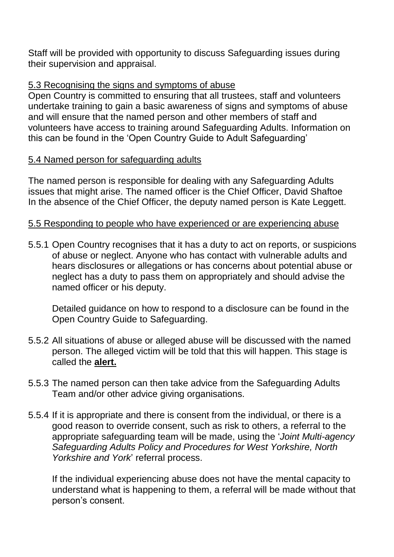Staff will be provided with opportunity to discuss Safeguarding issues during their supervision and appraisal.

#### 5.3 Recognising the signs and symptoms of abuse

Open Country is committed to ensuring that all trustees, staff and volunteers undertake training to gain a basic awareness of signs and symptoms of abuse and will ensure that the named person and other members of staff and volunteers have access to training around Safeguarding Adults. Information on this can be found in the 'Open Country Guide to Adult Safeguarding'

### 5.4 Named person for safeguarding adults

The named person is responsible for dealing with any Safeguarding Adults issues that might arise. The named officer is the Chief Officer, David Shaftoe In the absence of the Chief Officer, the deputy named person is Kate Leggett.

### 5.5 Responding to people who have experienced or are experiencing abuse

5.5.1 Open Country recognises that it has a duty to act on reports, or suspicions of abuse or neglect. Anyone who has contact with vulnerable adults and hears disclosures or allegations or has concerns about potential abuse or neglect has a duty to pass them on appropriately and should advise the named officer or his deputy.

Detailed guidance on how to respond to a disclosure can be found in the Open Country Guide to Safeguarding.

- 5.5.2 All situations of abuse or alleged abuse will be discussed with the named person. The alleged victim will be told that this will happen. This stage is called the **alert.**
- 5.5.3 The named person can then take advice from the Safeguarding Adults Team and/or other advice giving organisations.
- 5.5.4 If it is appropriate and there is consent from the individual, or there is a good reason to override consent, such as risk to others, a referral to the appropriate safeguarding team will be made, using the '*Joint Multi-agency Safeguarding Adults Policy and Procedures for West Yorkshire, North Yorkshire and York*' referral process.

If the individual experiencing abuse does not have the mental capacity to understand what is happening to them, a referral will be made without that person's consent.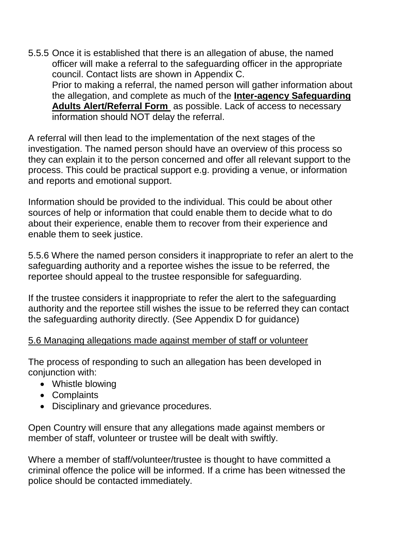5.5.5 Once it is established that there is an allegation of abuse, the named officer will make a referral to the safeguarding officer in the appropriate council. Contact lists are shown in Appendix C. Prior to making a referral, the named person will gather information about the allegation, and complete as much of the **[Inter-agency Safeguarding](http://www.northyorks.gov.uk/CHttpHandler.ashx?id=4419&p=0)  [Adults Alert/Referral Form](http://www.northyorks.gov.uk/CHttpHandler.ashx?id=4419&p=0)** as possible. Lack of access to necessary information should NOT delay the referral.

A referral will then lead to the implementation of the next stages of the investigation. The named person should have an overview of this process so they can explain it to the person concerned and offer all relevant support to the process. This could be practical support e.g. providing a venue, or information and reports and emotional support.

Information should be provided to the individual. This could be about other sources of help or information that could enable them to decide what to do about their experience, enable them to recover from their experience and enable them to seek justice.

5.5.6 Where the named person considers it inappropriate to refer an alert to the safeguarding authority and a reportee wishes the issue to be referred, the reportee should appeal to the trustee responsible for safeguarding.

If the trustee considers it inappropriate to refer the alert to the safeguarding authority and the reportee still wishes the issue to be referred they can contact the safeguarding authority directly. (See Appendix D for guidance)

#### 5.6 Managing allegations made against member of staff or volunteer

The process of responding to such an allegation has been developed in conjunction with:

- Whistle blowing
- Complaints
- Disciplinary and grievance procedures.

Open Country will ensure that any allegations made against members or member of staff, volunteer or trustee will be dealt with swiftly.

Where a member of staff/volunteer/trustee is thought to have committed a criminal offence the police will be informed. If a crime has been witnessed the police should be contacted immediately.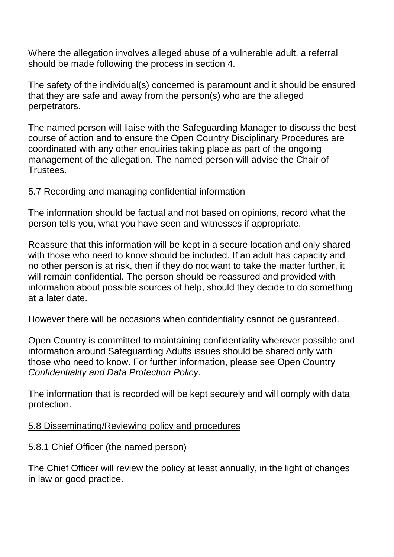Where the allegation involves alleged abuse of a vulnerable adult, a referral should be made following the process in section 4.

The safety of the individual(s) concerned is paramount and it should be ensured that they are safe and away from the person(s) who are the alleged perpetrators.

The named person will liaise with the Safeguarding Manager to discuss the best course of action and to ensure the Open Country Disciplinary Procedures are coordinated with any other enquiries taking place as part of the ongoing management of the allegation. The named person will advise the Chair of Trustees.

### 5.7 Recording and managing confidential information

The information should be factual and not based on opinions, record what the person tells you, what you have seen and witnesses if appropriate.

Reassure that this information will be kept in a secure location and only shared with those who need to know should be included. If an adult has capacity and no other person is at risk, then if they do not want to take the matter further, it will remain confidential. The person should be reassured and provided with information about possible sources of help, should they decide to do something at a later date.

However there will be occasions when confidentiality cannot be guaranteed.

Open Country is committed to maintaining confidentiality wherever possible and information around Safeguarding Adults issues should be shared only with those who need to know. For further information, please see Open Country *Confidentiality and Data Protection Policy*.

The information that is recorded will be kept securely and will comply with data protection.

#### 5.8 Disseminating/Reviewing policy and procedures

#### 5.8.1 Chief Officer (the named person)

The Chief Officer will review the policy at least annually, in the light of changes in law or good practice.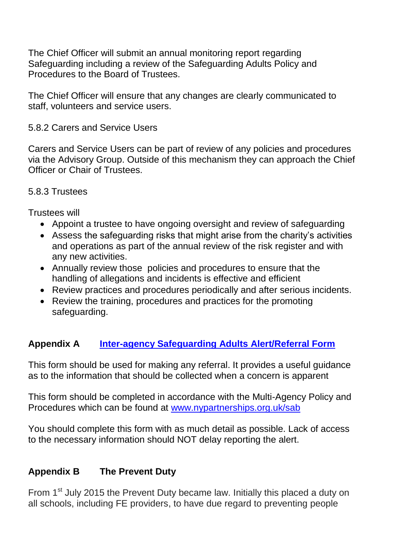The Chief Officer will submit an annual monitoring report regarding Safeguarding including a review of the Safeguarding Adults Policy and Procedures to the Board of Trustees.

The Chief Officer will ensure that any changes are clearly communicated to staff, volunteers and service users.

#### 5.8.2 Carers and Service Users

Carers and Service Users can be part of review of any policies and procedures via the Advisory Group. Outside of this mechanism they can approach the Chief Officer or Chair of Trustees.

### 5.8.3 Trustees

Trustees will

- Appoint a trustee to have ongoing oversight and review of safeguarding
- Assess the safeguarding risks that might arise from the charity's activities and operations as part of the annual review of the risk register and with any new activities.
- Annually review those policies and procedures to ensure that the handling of allegations and incidents is effective and efficient
- Review practices and procedures periodically and after serious incidents.
- Review the training, procedures and practices for the promoting safeguarding.

# **Appendix A [Inter-agency Safeguarding Adults Alert/Referral Form](https://docs.google.com/viewer?url=https%3A%2F%2Fwww.cravendc.gov.uk%2Fmedia%2F4337%2Fitem_13_-_appendix_a_part_i_inter-agency_safeguarding_adults_concerns_form_-oct_2015.pdf)**

This form should be used for making any referral. It provides a useful guidance as to the information that should be collected when a concern is apparent

This form should be completed in accordance with the Multi-Agency Policy and Procedures which can be found at [www.nypartnerships.org.uk/sab](http://www.nypartnerships.org.uk/sab)

You should complete this form with as much detail as possible. Lack of access to the necessary information should NOT delay reporting the alert.

# **Appendix B The Prevent Duty**

From 1<sup>st</sup> July 2015 the Prevent Duty became law. Initially this placed a duty on all schools, including FE providers, to have due regard to preventing people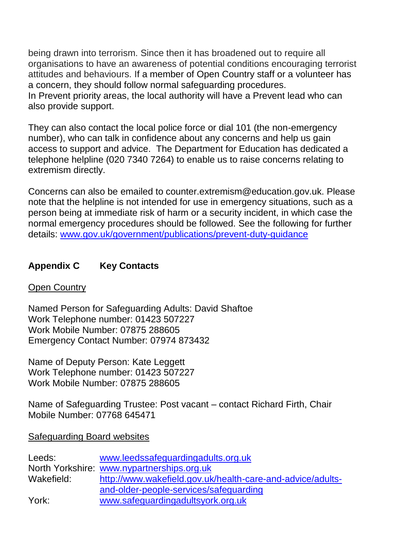being drawn into terrorism. Since then it has broadened out to require all organisations to have an awareness of potential conditions encouraging terrorist attitudes and behaviours. If a member of Open Country staff or a volunteer has a concern, they should follow normal safeguarding procedures. In Prevent priority areas, the local authority will have a Prevent lead who can also provide support.

They can also contact the local police force or dial 101 (the non-emergency number), who can talk in confidence about any concerns and help us gain access to support and advice. The Department for Education has dedicated a telephone helpline (020 7340 7264) to enable us to raise concerns relating to extremism directly.

Concerns can also be emailed to counter.extremism@education.gov.uk. Please note that the helpline is not intended for use in emergency situations, such as a person being at immediate risk of harm or a security incident, in which case the normal emergency procedures should be followed. See the following for further details: [www.gov.uk/government/publications/prevent-duty-guidance](http://www.gov.uk/government/publications/prevent-duty-guidance)

## **Appendix C Key Contacts**

#### Open Country

Named Person for Safeguarding Adults: David Shaftoe Work Telephone number: 01423 507227 Work Mobile Number: 07875 288605 Emergency Contact Number: 07974 873432

Name of Deputy Person: Kate Leggett Work Telephone number: 01423 507227 Work Mobile Number: 07875 288605

Name of Safeguarding Trustee: Post vacant – contact Richard Firth, Chair Mobile Number: 07768 645471

#### Safeguarding Board websites

| Leeds:     | www.leedssafequardingadults.org.uk                         |
|------------|------------------------------------------------------------|
|            | North Yorkshire: www.nypartnerships.org.uk                 |
| Wakefield: | http://www.wakefield.gov.uk/health-care-and-advice/adults- |
|            | and-older-people-services/safeguarding                     |
| York:      | www.safequardingadultsyork.org.uk                          |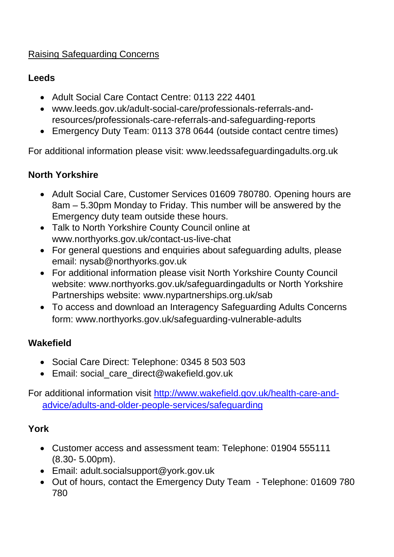## Raising Safeguarding Concerns

### **Leeds**

- Adult Social Care Contact Centre: 0113 222 4401
- www.leeds.gov.uk/adult-social-care/professionals-referrals-andresources/professionals-care-referrals-and-safeguarding-reports
- Emergency Duty Team: 0113 378 0644 (outside contact centre times)

For additional information please visit: www.leedssafeguardingadults.org.uk

## **North Yorkshire**

- Adult Social Care, Customer Services 01609 780780. Opening hours are 8am – 5.30pm Monday to Friday. This number will be answered by the Emergency duty team outside these hours.
- Talk to North Yorkshire County Council online at www.northyorks.gov.uk/contact-us-live-chat
- For general questions and enquiries about safeguarding adults, please email: nysab@northyorks.gov.uk
- For additional information please visit North Yorkshire County Council website: www.northyorks.gov.uk/safeguardingadults or North Yorkshire Partnerships website: www.nypartnerships.org.uk/sab
- To access and download an Interagency Safeguarding Adults Concerns form: www.northyorks.gov.uk/safeguarding-vulnerable-adults

# **Wakefield**

- Social Care Direct: Telephone: 0345 8 503 503
- Email: social care direct@wakefield.gov.uk

For additional information visit [http://www.wakefield.gov.uk/health-care-and](http://www.wakefield.gov.uk/health-care-and-advice/adults-and-older-people-services/safeguarding)[advice/adults-and-older-people-services/safeguarding](http://www.wakefield.gov.uk/health-care-and-advice/adults-and-older-people-services/safeguarding)

## **York**

- Customer access and assessment team: Telephone: 01904 555111 (8.30- 5.00pm).
- Email: adult.socialsupport@york.gov.uk
- Out of hours, contact the Emergency Duty Team Telephone: 01609 780 780